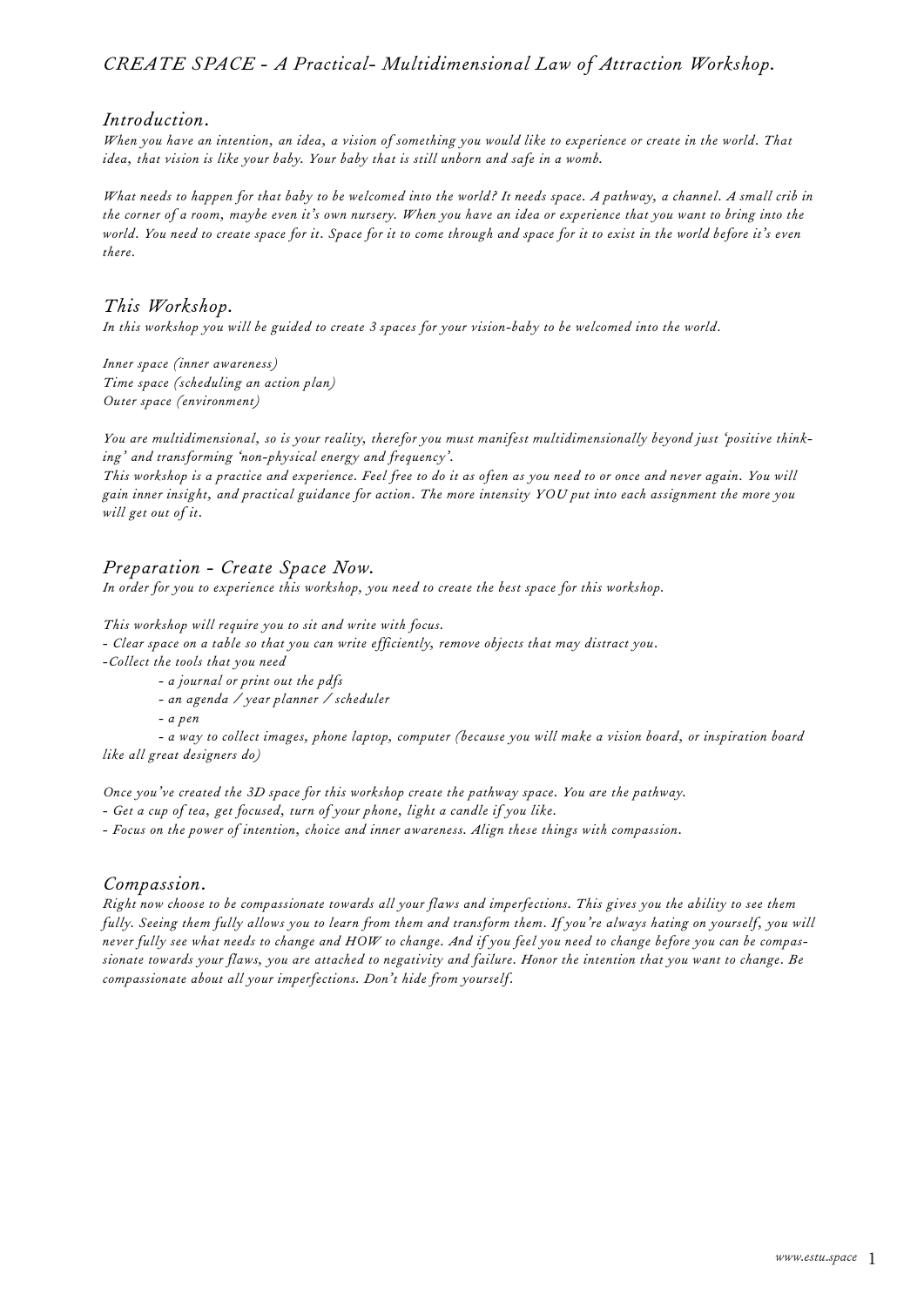## *CREATE SPACE - A Practical- Multidimensional Law of Attraction Workshop.*

#### *Introduction.*

*When you have an intention, an idea, a vision of something you would like to experience or create in the world. That idea, that vision is like your baby. Your baby that is still unborn and safe in a womb.* 

*What needs to happen for that baby to be welcomed into the world? It needs space. A pathway, a channel. A small crib in the corner of a room, maybe even it's own nursery. When you have an idea or experience that you want to bring into the world. You need to create space for it. Space for it to come through and space for it to exist in the world before it's even there.* 

### *This Workshop.*

*In this workshop you will be guided to create 3 spaces for your vision-baby to be welcomed into the world.* 

*Inner space (inner awareness) Time space (scheduling an action plan) Outer space (environment)*

*You are multidimensional, so is your reality, therefor you must manifest multidimensionally beyond just 'positive thinking' and transforming 'non-physical energy and frequency'.*

*This workshop is a practice and experience. Feel free to do it as often as you need to or once and never again. You will gain inner insight, and practical guidance for action. The more intensity YOU put into each assignment the more you will get out of it.*

#### *Preparation - Create Space Now.*

*In order for you to experience this workshop, you need to create the best space for this workshop.*

*This workshop will require you to sit and write with focus.* 

*- Clear space on a table so that you can write efficiently, remove objects that may distract you.*

*-Collect the tools that you need*

- *a journal or print out the pdfs*
- *an agenda / year planner / scheduler*

*- a pen*

*- a way to collect images, phone laptop, computer (because you will make a vision board, or inspiration board like all great designers do)* 

*Once you've created the 3D space for this workshop create the pathway space. You are the pathway.*

*- Get a cup of tea, get focused, turn of your phone, light a candle if you like.* 

*- Focus on the power of intention, choice and inner awareness. Align these things with compassion.* 

#### *Compassion.*

*Right now choose to be compassionate towards all your flaws and imperfections. This gives you the ability to see them fully. Seeing them fully allows you to learn from them and transform them. If you're always hating on yourself, you will never fully see what needs to change and HOW to change. And if you feel you need to change before you can be compassionate towards your flaws, you are attached to negativity and failure. Honor the intention that you want to change. Be compassionate about all your imperfections. Don't hide from yourself.*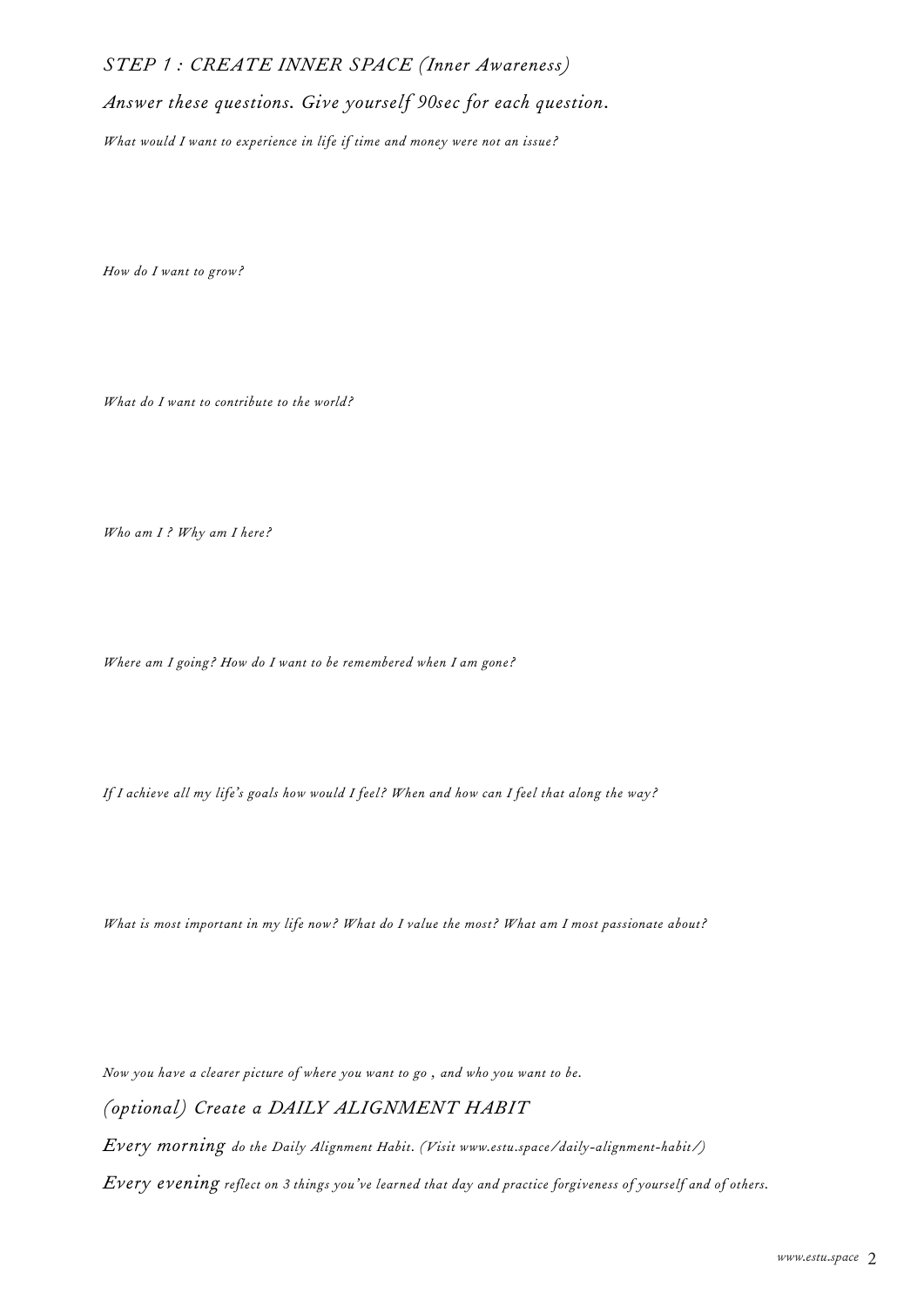# *STEP 1 : CREATE INNER SPACE (Inner Awareness)*

*Answer these questions. Give yourself 90sec for each question.*

*What would I want to experience in life if time and money were not an issue?*

*How do I want to grow?*

*What do I want to contribute to the world?*

*Who am I ? Why am I here?*

*Where am I going? How do I want to be remembered when I am gone?*

*If I achieve all my life's goals how would I feel? When and how can I feel that along the way?*

*What is most important in my life now? What do I value the most? What am I most passionate about?*

*Now you have a clearer picture of where you want to go , and who you want to be.* 

*(optional) Create a DAILY ALIGNMENT HABIT*

*Every morning do the Daily Alignment Habit. (Visit www.estu.space/daily-alignment-habit/)*

*Every evening reflect on 3 things you've learned that day and practice forgiveness of yourself and of others.*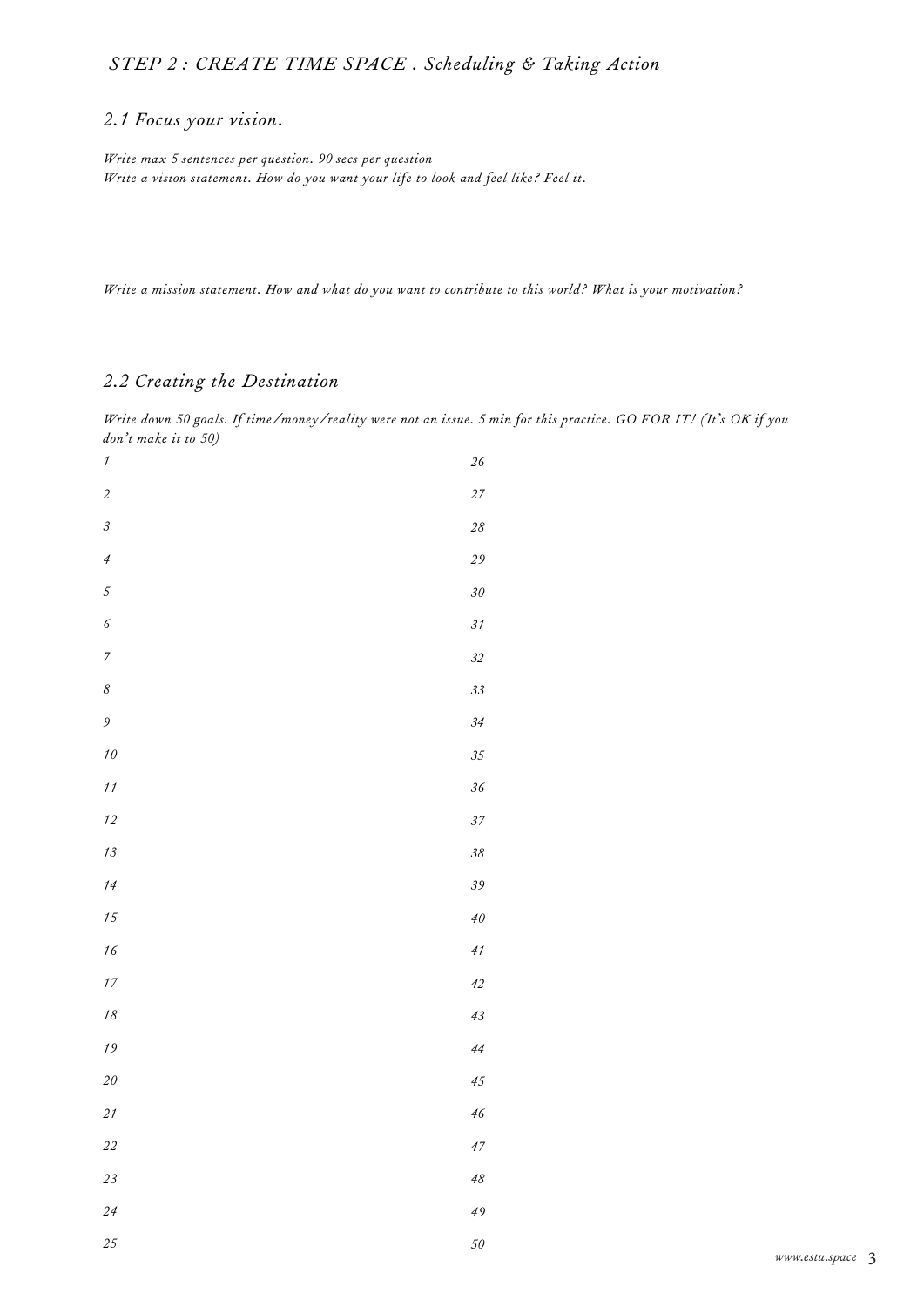# *STEP 2 : CREATE TIME SPACE . Scheduling & Taking Action*

## *2.1 Focus your vision.*

*Write max 5 sentences per question. 90 secs per question Write a vision statement. How do you want your life to look and feel like? Feel it.*

*Write a mission statement. How and what do you want to contribute to this world? What is your motivation?*

# *2.2 Creating the Destination*

*Write down 50 goals. If time/money/reality were not an issue. 5 min for this practice. GO FOR IT! (It's OK if you don't make it to 50)*

| $\boldsymbol{\mathcal{I}}$  | $26\,$ |
|-----------------------------|--------|
| $\sqrt{2}$                  | 27     |
| $\ensuremath{\mathfrak{Z}}$ | $28\,$ |
| $\overline{4}$              | 29     |
| $\sqrt{5}$                  | $30\,$ |
| $\sqrt{6}$                  | 31     |
| $\boldsymbol{7}$            | 32     |
| $\delta$                    | 33     |
| $\mathfrak g$               | 34     |
| $\sqrt{10}$                 | 35     |
| 11                          | $36\,$ |
| 12                          | 37     |
| $13\,$                      | $38\,$ |
| $14$                        | 39     |
| 15                          | $40\,$ |
| $16\,$                      | 41     |
| $\sqrt{7}$                  | 42     |
| $18\,$                      | 43     |
| $\sqrt{19}$                 | 44     |
| $2\mathit{0}$               | 45     |
| $21$                        | 46     |
| $2 \\ 2$                    | 47     |
| $2\sqrt{3}$                 | $48\,$ |
| 24                          | 49     |
| 25                          | 50     |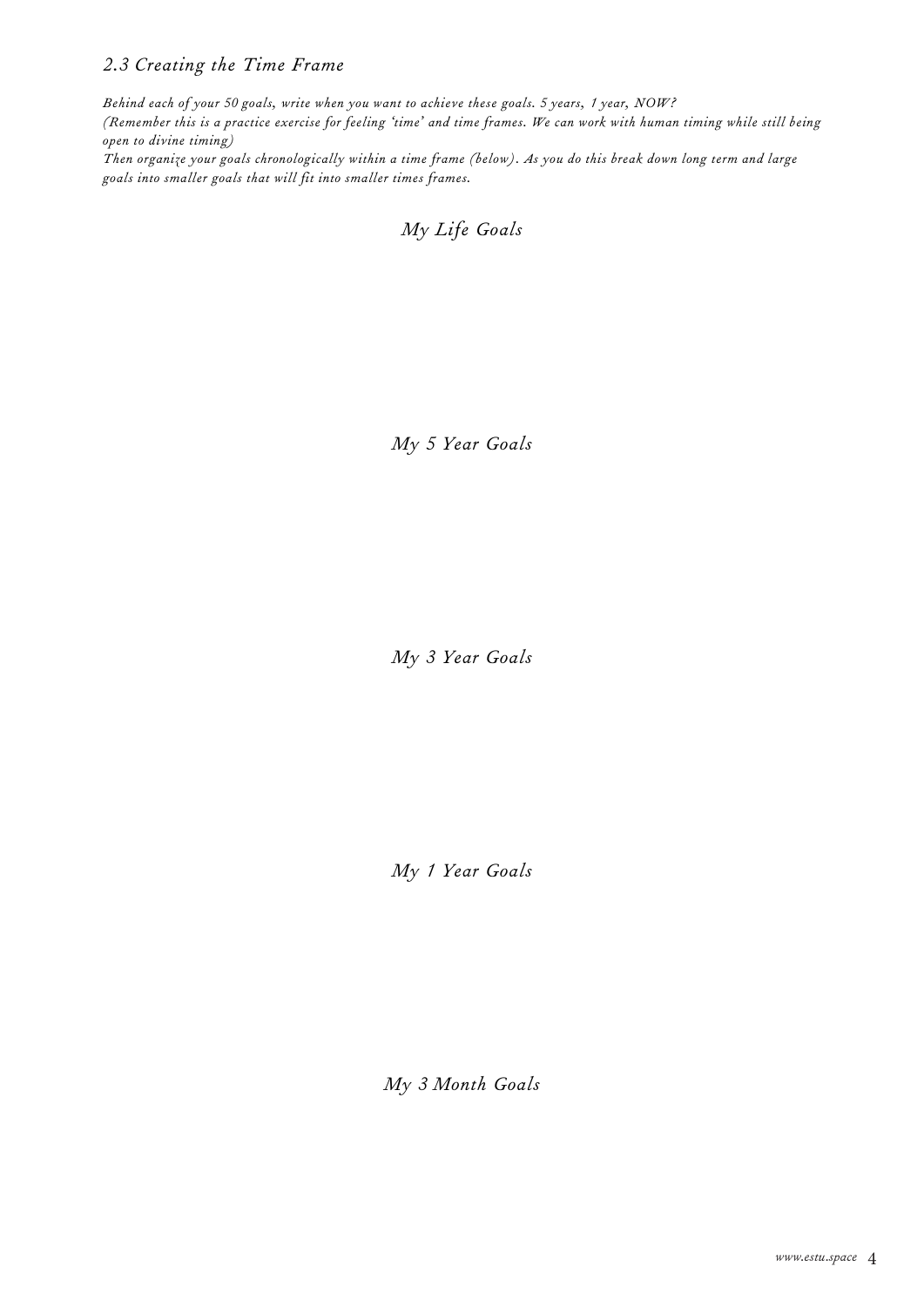# *2.3 Creating the Time Frame*

*Behind each of your 50 goals, write when you want to achieve these goals. 5 years, 1 year, NOW? (Remember this is a practice exercise for feeling 'time' and time frames. We can work with human timing while still being open to divine timing)*

*Then organize your goals chronologically within a time frame (below). As you do this break down long term and large goals into smaller goals that will fit into smaller times frames.*

*My Life Goals*

*My 5 Year Goals*

*My 3 Year Goals*

*My 1 Year Goals*

*My 3 Month Goals*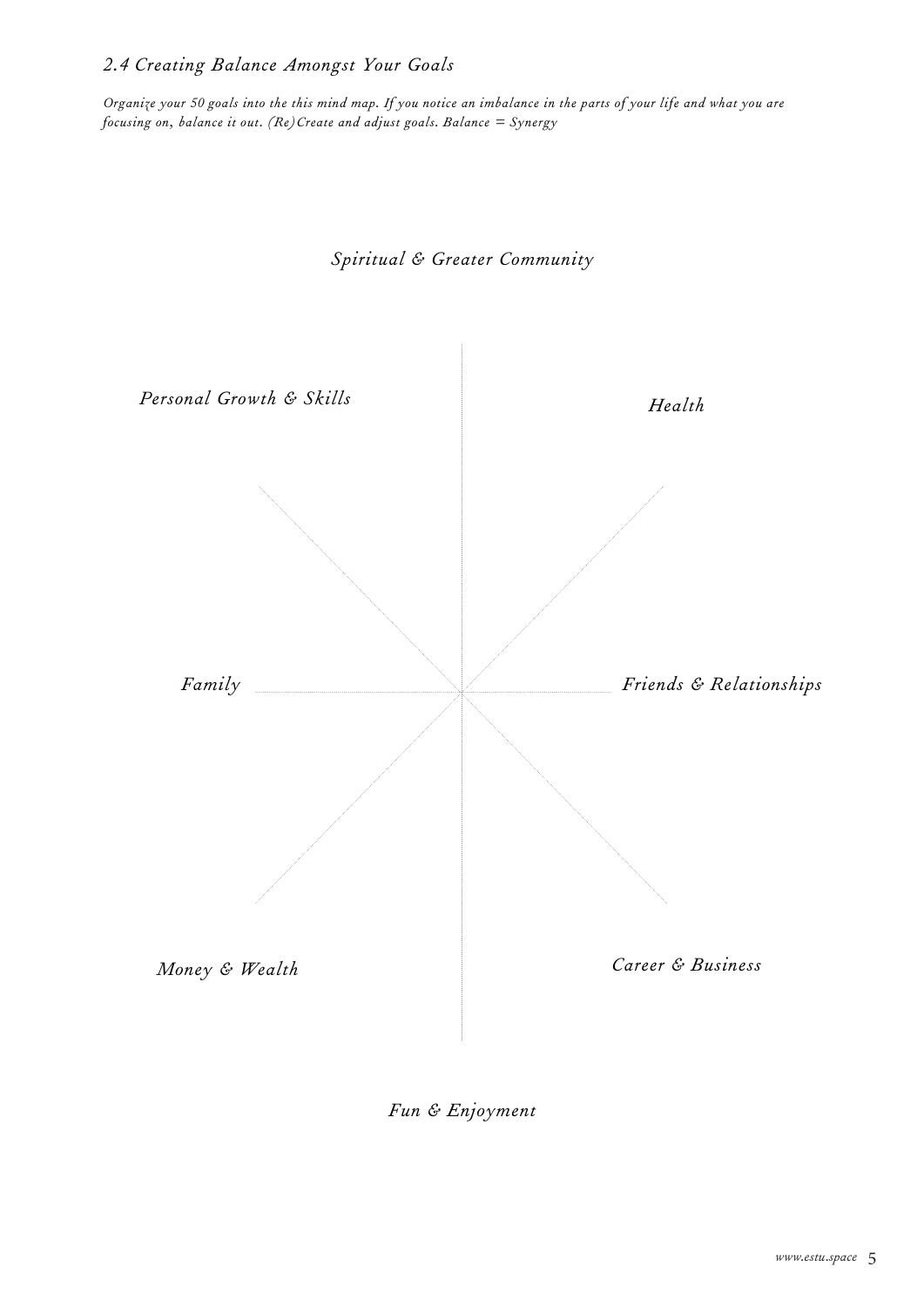# *2.4 Creating Balance Amongst Your Goals*

*Organize your 50 goals into the this mind map. If you notice an imbalance in the parts of your life and what you are focusing on, balance it out. (Re)Create and adjust goals. Balance = Synergy*

*Spiritual & Greater Community* 



*Fun & Enjoyment*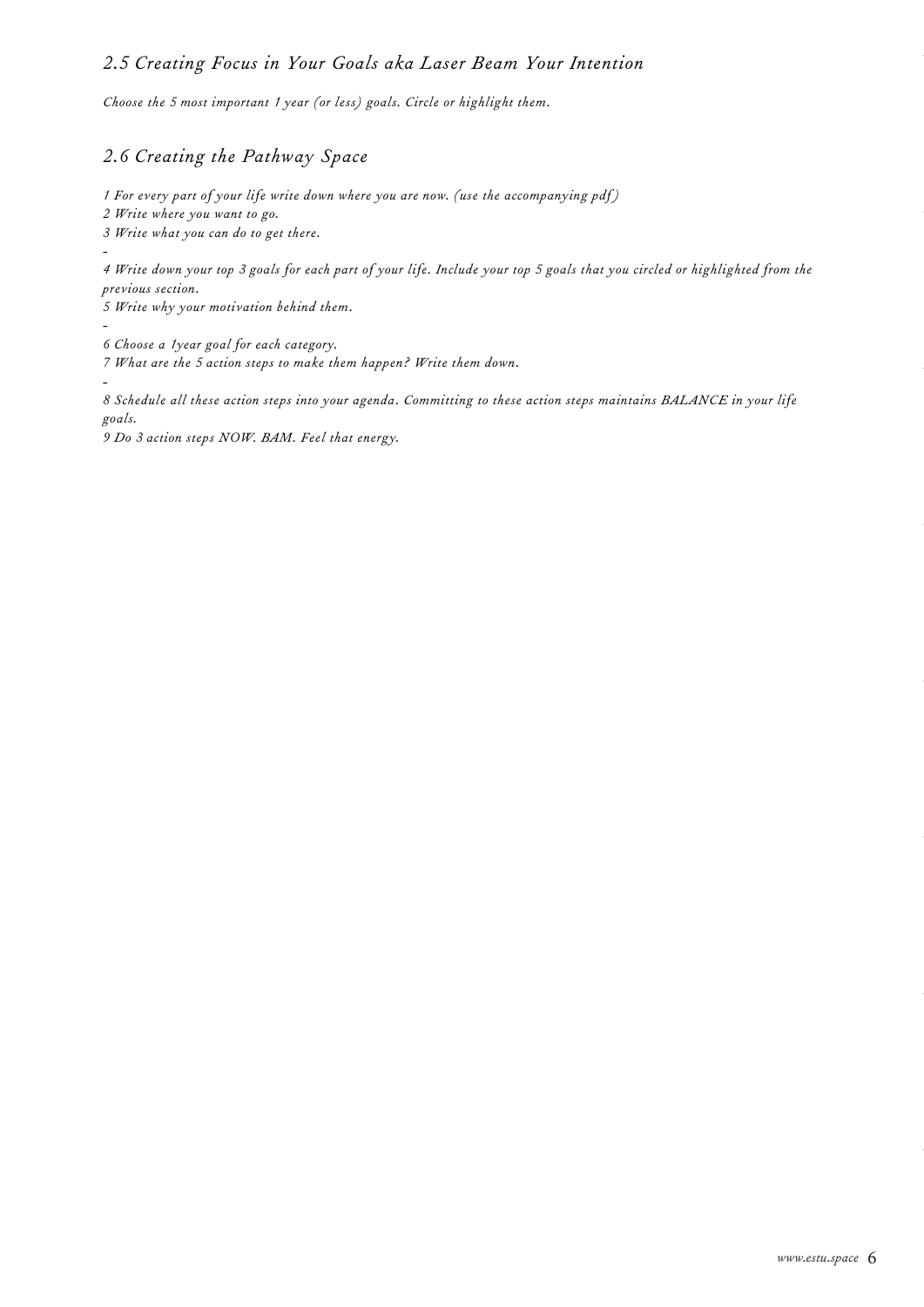## *2.5 Creating Focus in Your Goals aka Laser Beam Your Intention*

*Choose the 5 most important 1 year (or less) goals. Circle or highlight them.*

# *2.6 Creating the Pathway Space*

*1 For every part of your life write down where you are now. (use the accompanying pdf )*

*2 Write where you want to go.*

*3 Write what you can do to get there.*

*- 4 Write down your top 3 goals for each part of your life. Include your top 5 goals that you circled or highlighted from the previous section.*

*5 Write why your motivation behind them.*

*-*

*6 Choose a 1year goal for each category.*

*7 What are the 5 action steps to make them happen? Write them down.*

*-*

*8 Schedule all these action steps into your agenda. Committing to these action steps maintains BALANCE in your life goals.*

*9 Do 3 action steps NOW. BAM. Feel that energy.*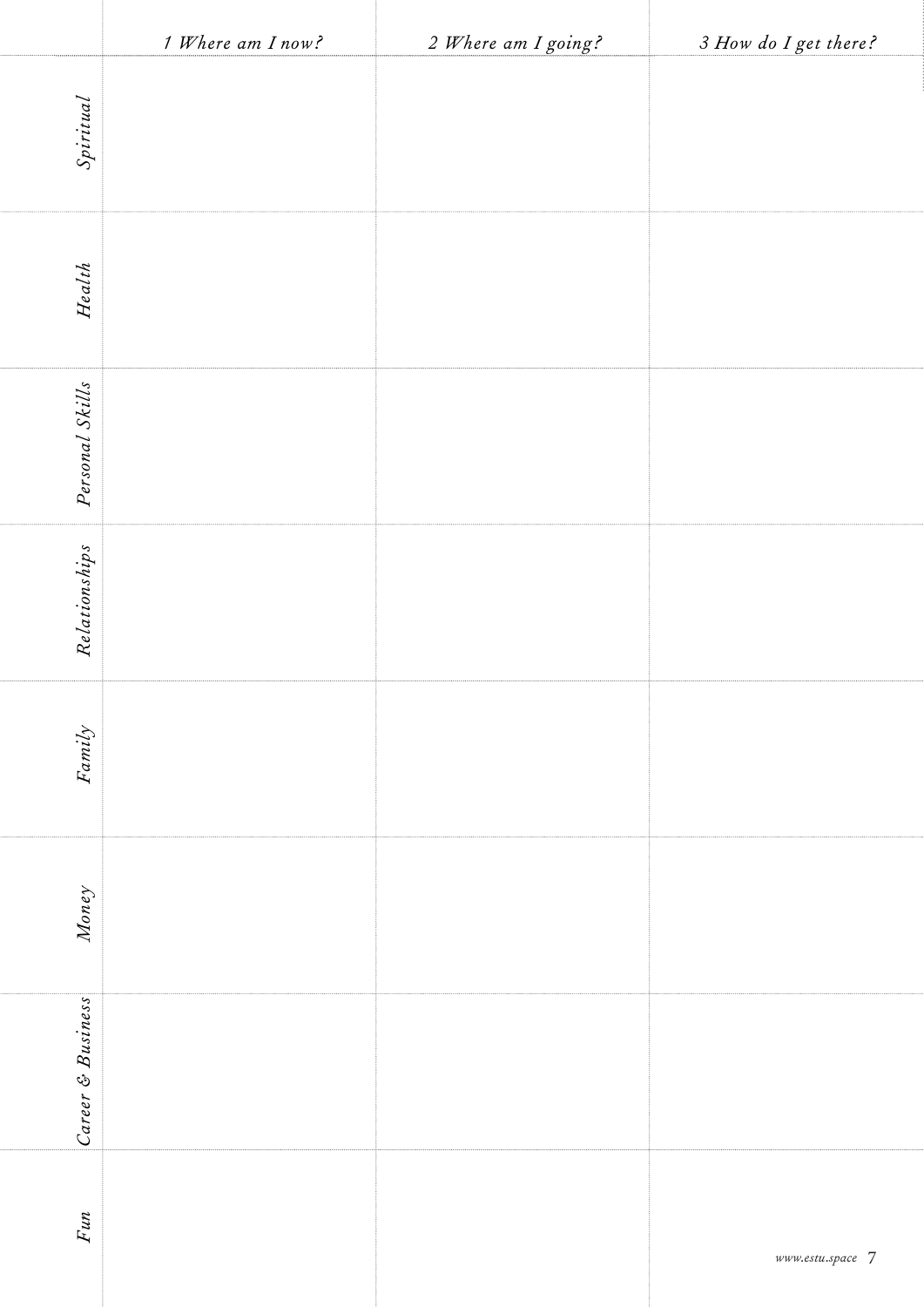|                   | 1 Where am I now? | 2 Where am I going? | 3 How do I get there?      |
|-------------------|-------------------|---------------------|----------------------------|
| Spiritual         |                   |                     |                            |
| $Health$          |                   |                     |                            |
| Personal Skills   |                   |                     |                            |
| Relationships     |                   |                     |                            |
| $Fani{\cal Y}$    |                   |                     |                            |
| Money             |                   |                     |                            |
| Career & Business |                   |                     |                            |
| Fun               |                   |                     | $www. estu. space \quad 7$ |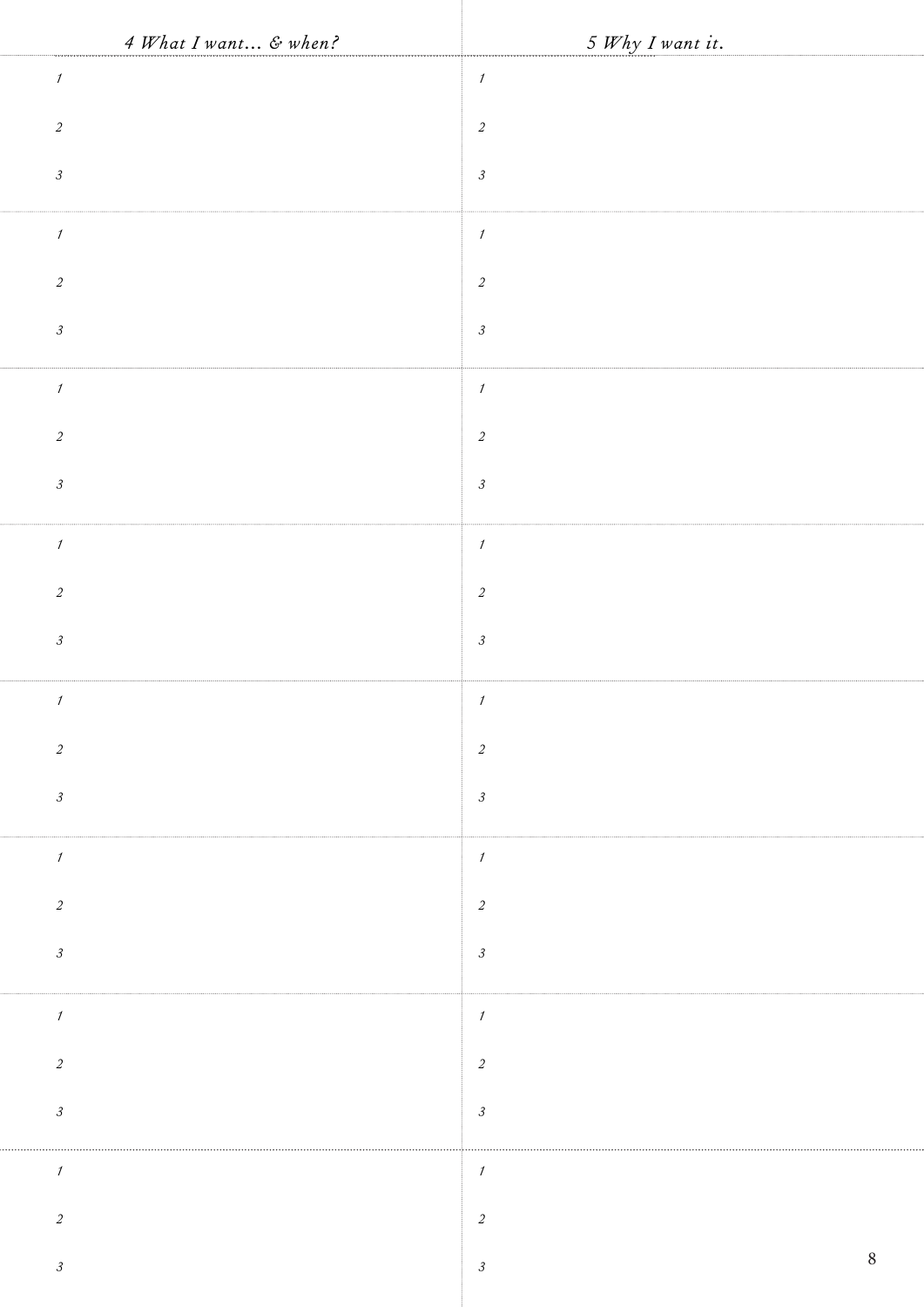| 4 What I want & when?         | 5 Why I want it.<br>.<br>In director of the form of an arrangement |
|-------------------------------|--------------------------------------------------------------------|
| $\boldsymbol{\mathcal{I}}$    | $\cal I$                                                           |
| $\sqrt{2}$                    | $\sqrt{2}$                                                         |
| $\ensuremath{\mathfrak{Z}}$   | $\ensuremath{\mathfrak{Z}}$                                        |
| $\boldsymbol{\mathcal{I}}$    | $\ensuremath{\mathnormal{1}}$                                      |
| $\sqrt{2}$                    | $\sqrt{2}$                                                         |
| $\ensuremath{\mathfrak{Z}}$   | $\ensuremath{\mathfrak{Z}}$                                        |
| $\boldsymbol{\mathit{1}}$     | $\ensuremath{\mathnormal{1}}$                                      |
| $\sqrt{2}$                    | $\sqrt{2}$                                                         |
| $\ensuremath{\mathfrak{z}}$   | $\ensuremath{\mathfrak{Z}}$                                        |
| $\boldsymbol{\mathcal{I}}$    | $\ensuremath{\mathnormal{1}}$                                      |
| $\sqrt{2}$                    | $\sqrt{2}$                                                         |
| $\ensuremath{\mathfrak{z}}$   | $\ensuremath{\mathfrak{Z}}$                                        |
| $\mathcal I$                  |                                                                    |
| $\overline{c}$                | $\overline{c}$                                                     |
| $\ensuremath{\mathfrak{Z}}$   | $\mathcal{S}_{\mathcal{S}}$                                        |
| $\mathcal{I}$                 | $\cal I$                                                           |
| $\sqrt{2}$                    | $\mathfrak{2}$                                                     |
| $\ensuremath{\mathfrak{Z}}$   | $\mathfrak{Z}$                                                     |
| $\boldsymbol{\mathcal{I}}$    | $\boldsymbol{\mathcal{I}}$                                         |
| $\sqrt{2}$                    | $\sqrt{2}$                                                         |
| $\ensuremath{\mathfrak{Z}}$   | $\mathcal{S}_{\mathcal{S}}$                                        |
| $\ensuremath{\mathnormal{1}}$ | $\mathcal{I}$                                                      |
| $\sqrt{2}$                    | $\sqrt{2}$                                                         |
| $\ensuremath{\mathfrak{Z}}$   | $\, 8$<br>$\ensuremath{\mathcal{S}}$                               |
|                               |                                                                    |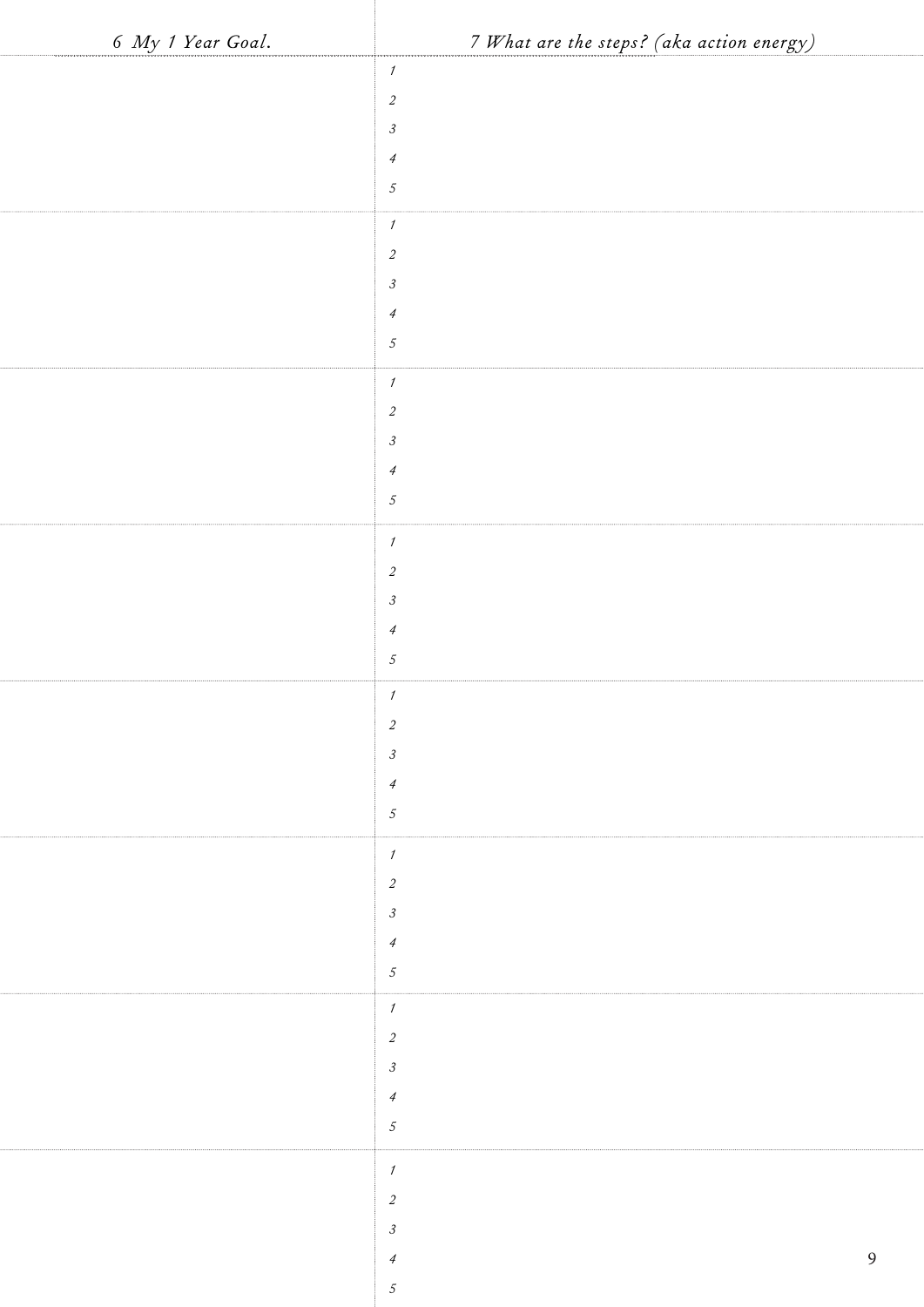| 6 My 1 Year Goal. | 7 What are the steps? (aka action energy)    |
|-------------------|----------------------------------------------|
|                   | 1                                            |
|                   | $\overline{c}$                               |
|                   | $\ensuremath{\mathfrak{Z}}$                  |
|                   | $\ensuremath{\mathcal{A}}$                   |
|                   | $\sqrt{5}$                                   |
|                   | $\cal I$                                     |
|                   | $\overline{c}$                               |
|                   | $\mathfrak{Z}$                               |
|                   | $\overline{A}$                               |
|                   | $\sqrt{5}$                                   |
|                   | $\boldsymbol{\mathit{1}}$                    |
|                   | $\overline{c}$                               |
|                   | $\mathfrak{Z}$                               |
|                   | $\ensuremath{\mathcal{A}}$                   |
|                   | $\sqrt{5}$                                   |
|                   | $\mathcal{I}$                                |
|                   | $\sqrt{2}$                                   |
|                   | $\ensuremath{\mathfrak{Z}}$                  |
|                   | $\overline{A}$                               |
|                   | $\sqrt{5}$                                   |
|                   | $\mathcal{I}$                                |
|                   | $\overline{a}$                               |
|                   | $\mathfrak{Z}$<br>$\overline{4}$             |
|                   | $\mathfrak{S}$                               |
|                   |                                              |
|                   | $\cal I$                                     |
|                   | $\overline{a}$                               |
|                   | $\mathfrak{Z}$                               |
|                   | $\overline{4}$<br>$\mathfrak{S}$             |
|                   |                                              |
|                   | $\boldsymbol{\mathcal{I}}$<br>$\overline{c}$ |
|                   | $\boldsymbol{\beta}$                         |
|                   | $\ensuremath{\mathcal{A}}$                   |
|                   | $\mathfrak{I}$                               |
|                   |                                              |
|                   | $\cal I$                                     |
|                   | $\sqrt{2}$<br>$\mathfrak{Z}$                 |
|                   | 9<br>$\overline{4}$                          |
|                   | $\sqrt{5}$                                   |
|                   |                                              |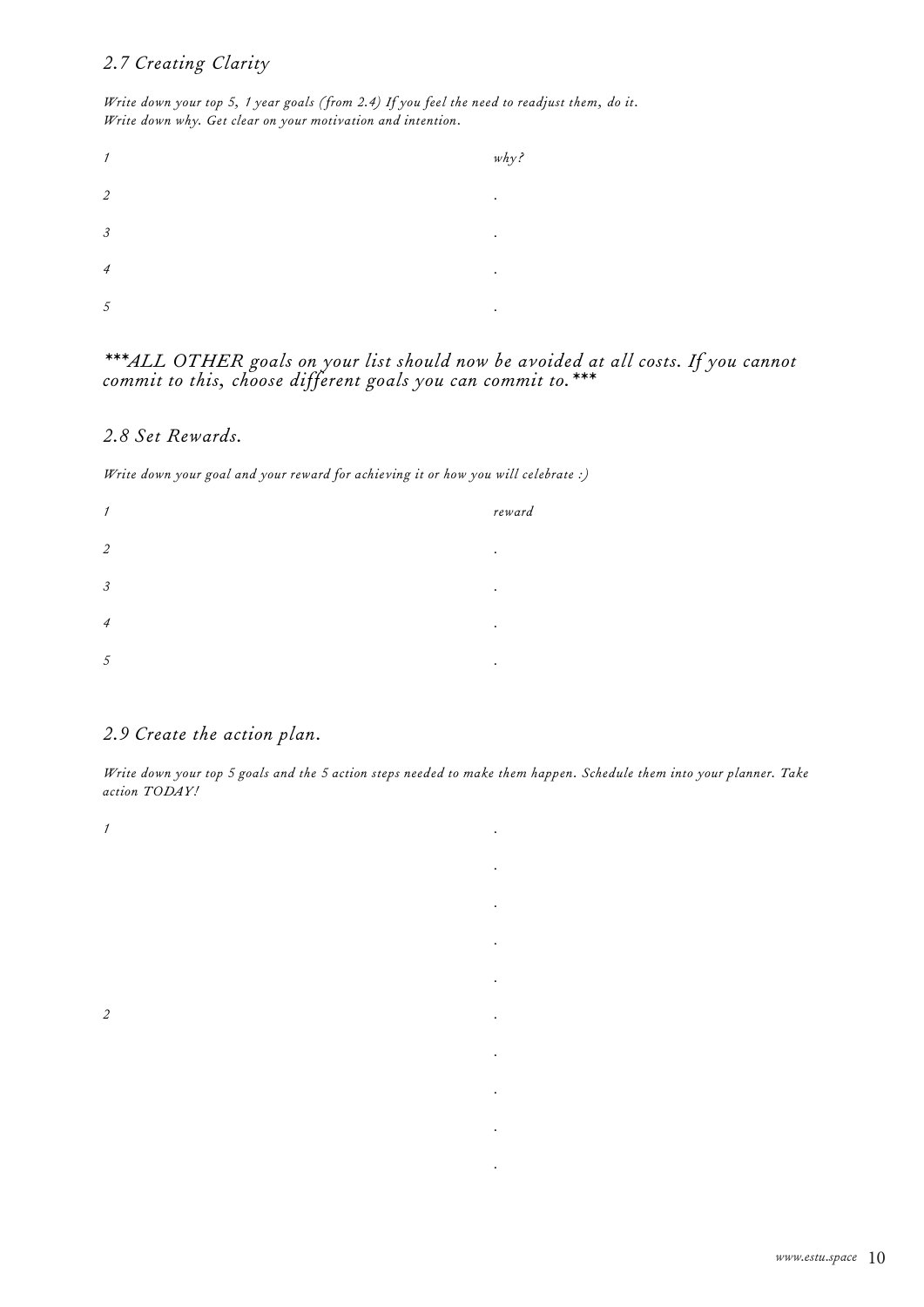# *2.7 Creating Clarity*

*Write down your top 5, 1 year goals (from 2.4) If you feel the need to readjust them, do it. Write down why. Get clear on your motivation and intention.*

| 1                           | why |
|-----------------------------|-----|
| $\overline{2}$              | ٠   |
| $\mathcal{S}_{\mathcal{S}}$ |     |
| $\overline{4}$              | ٠   |
| 5                           | ٠   |

### *\*\*\*ALL OTHER goals on your list should now be avoided at all costs. If you cannot commit to this, choose different goals you can commit to.\*\*\**

### *2.8 Set Rewards.*

*Write down your goal and your reward for achieving it or how you will celebrate :)*

| 1              |  | reward |
|----------------|--|--------|
| $\overline{2}$ |  | ٠      |
| 3              |  | ٠      |
| $\overline{4}$ |  | ٠      |
| 5              |  | ٠      |

# *2.9 Create the action plan.*

*Write down your top 5 goals and the 5 action steps needed to make them happen. Schedule them into your planner. Take action TODAY!*

- *1 . .*
- *. .*
- *2 .*
- *.*
- 
- 
- -
	-
	-
	- *.*
	-
	-
	- *.*
	- *.*
	-
	- *.*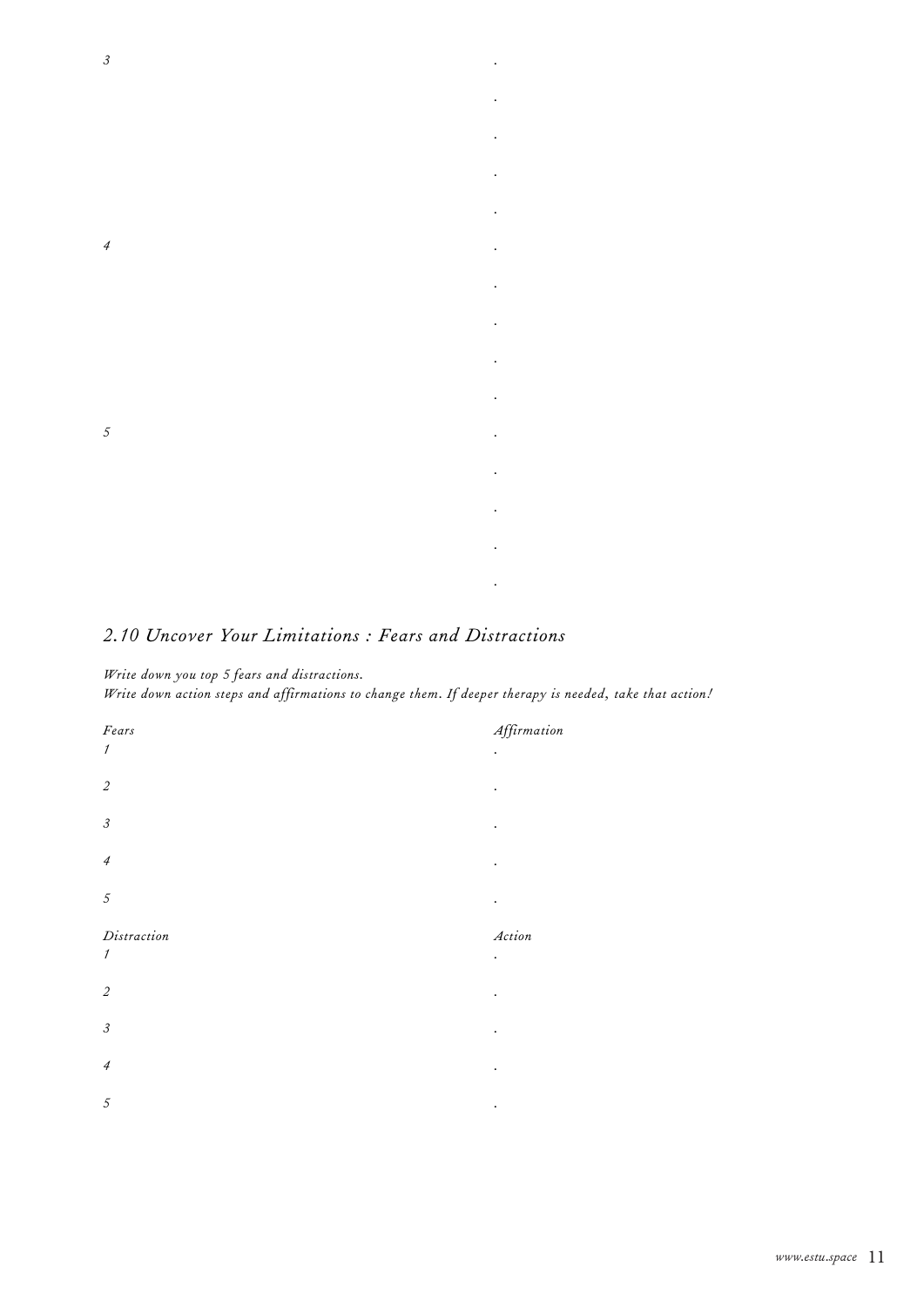

## *2.10 Uncover Your Limitations : Fears and Distractions*

#### *Write down you top 5 fears and distractions.*

*Write down action steps and affirmations to change them. If deeper therapy is needed, take that action!*



- 
- 
- 
- 

- 
- 
- 
- 
- 
-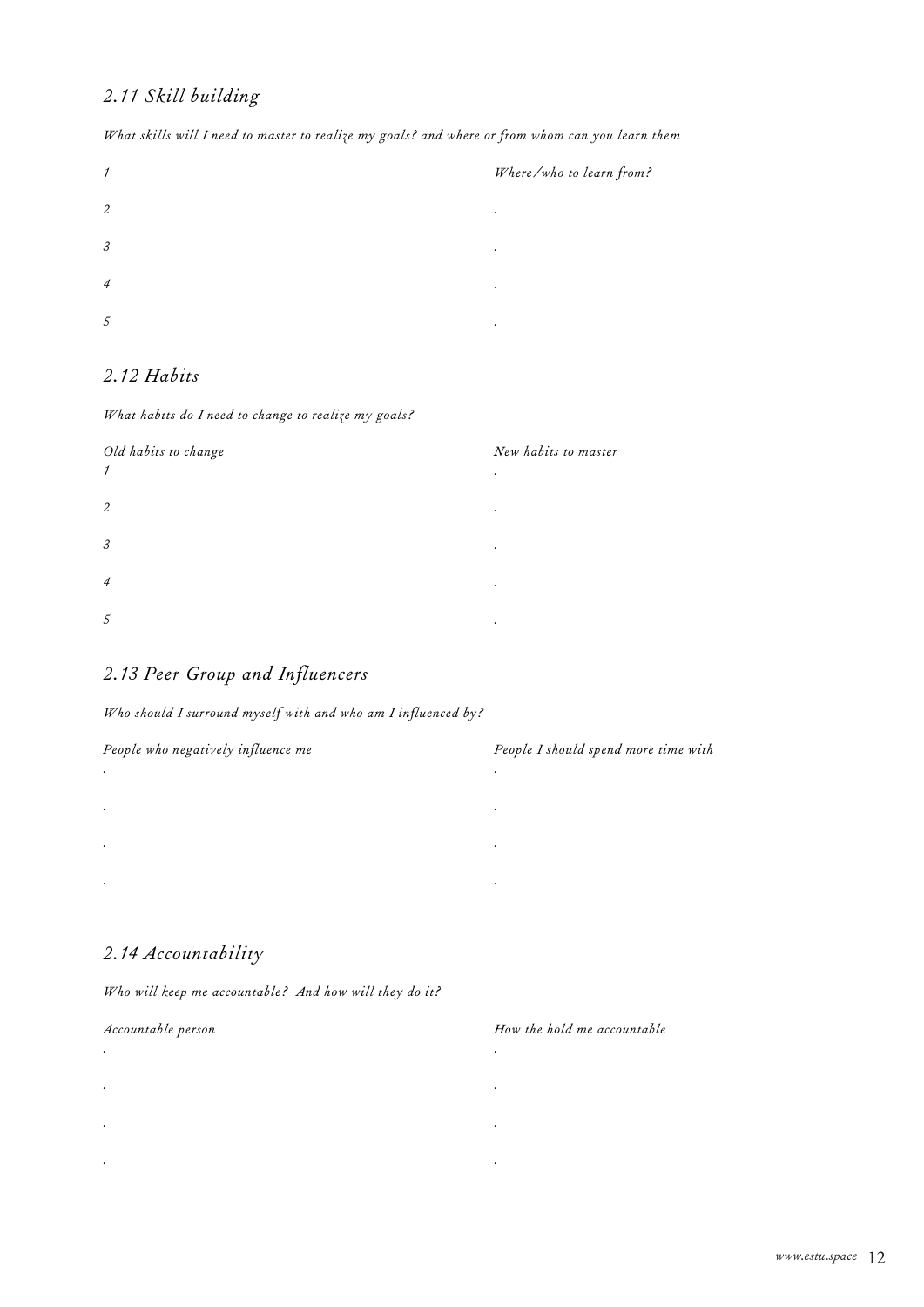# *2.11 Skill building*

| $\mathcal I$         |  |   |
|----------------------|--|---|
| $\mathfrak{2}$       |  | ٠ |
| $\boldsymbol{\beta}$ |  |   |
| $\overline{4}$       |  | ٠ |
| 5                    |  | ٠ |

*What skills will I need to master to realize my goals? and where or from whom can you learn them*

## *2.12 Habits*

#### *What habits do I need to change to realize my goals?*



#### *1 Where/who to learn from?*

- 
- 
- 
- 
- 

- 
- 
- 
- 
- 
- 

# *2.13 Peer Group and Influencers*

#### *Who should I surround myself with and who am I influenced by?*



- 
- 
- 
- 

# *2.14 Accountability*

#### *Who will keep me accountable? And how will they do it?*

- *. . . .*
- *. .*
- *. .*

#### *Accountable person How the hold me accountable*

- -
- 
- -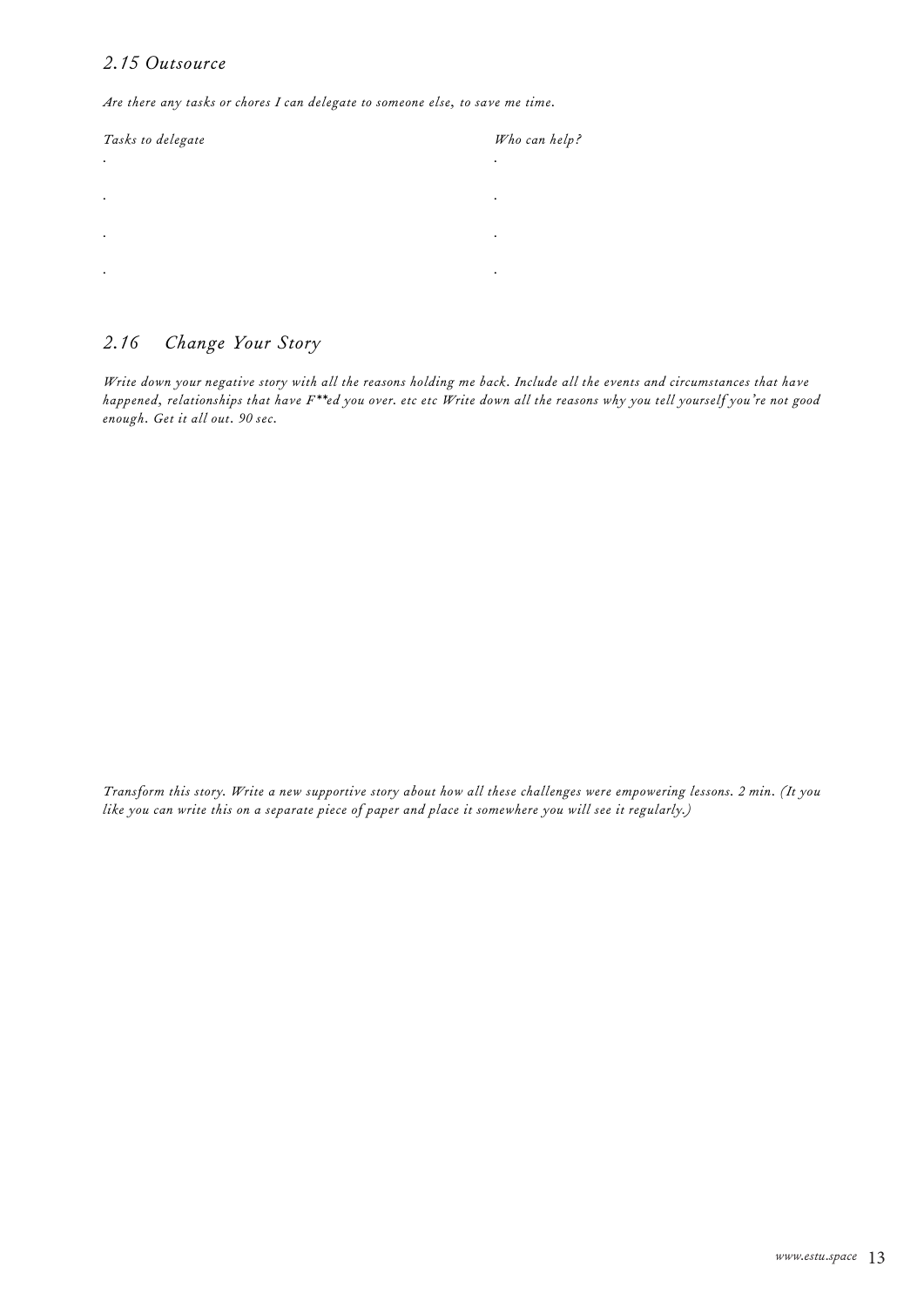## *2.15 Outsource*

*Are there any tasks or chores I can delegate to someone else, to save me time.*

| Tasks to delegate | Who can help? |
|-------------------|---------------|
| $\bullet$         | ٠             |
| $\bullet$         | ٠             |
| $\bullet$         | ٠             |
| $\bullet$         | ٠             |
|                   |               |

# *2.16 Change Your Story*

*Write down your negative story with all the reasons holding me back. Include all the events and circumstances that have happened, relationships that have F\*\*ed you over. etc etc Write down all the reasons why you tell yourself you're not good enough. Get it all out. 90 sec.*

*Transform this story. Write a new supportive story about how all these challenges were empowering lessons. 2 min. (It you like you can write this on a separate piece of paper and place it somewhere you will see it regularly.)*